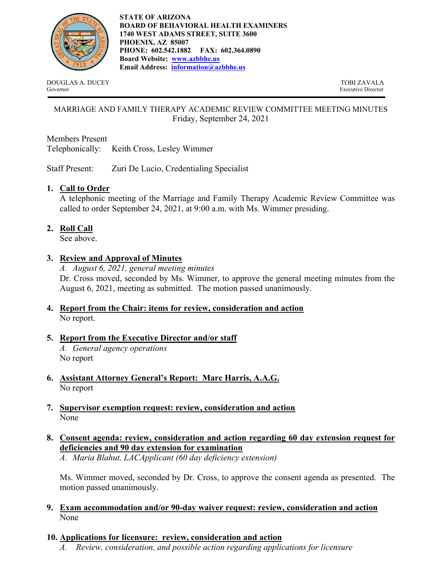

DOUGLAS A. DUCEY TOBI ZAVALA Governor Executive Director

## MARRIAGE AND FAMILY THERAPY ACADEMIC REVIEW COMMITTEE MEETING MINUTES Friday, September 24, 2021

Members Present Telephonically: Keith Cross, Lesley Wimmer

Staff Present: Zuri De Lucio, Credentialing Specialist

# **1. Call to Order**

A telephonic meeting of the Marriage and Family Therapy Academic Review Committee was called to order September 24, 2021, at 9:00 a.m. with Ms. Wimmer presiding.

# **2. Roll Call**

See above.

## **3. Review and Approval of Minutes**

*A. August 6, 2021, general meeting minutes*  Dr. Cross moved, seconded by Ms. Wimmer, to approve the general meeting minutes from the August 6, 2021, meeting as submitted. The motion passed unanimously.

**4. Report from the Chair: items for review, consideration and action** No report.

# **5. Report from the Executive Director and/or staff**

*A. General agency operations*  No report

- **6. Assistant Attorney General's Report: Marc Harris, A.A.G.** No report
- **7. Supervisor exemption request: review, consideration and action**  None
- **8. Consent agenda: review, consideration and action regarding 60 day extension request for deficiencies and 90 day extension for examination**

*A. Maria Blahut, LACApplicant (60 day deficiency extension)* 

 Ms. Wimmer moved, seconded by Dr. Cross, to approve the consent agenda as presented. The motion passed unanimously.

**9. Exam accommodation and/or 90-day waiver request: review, consideration and action**  None

### **10. Applications for licensure: review, consideration and action**

*A. Review, consideration, and possible action regarding applications for licensure*